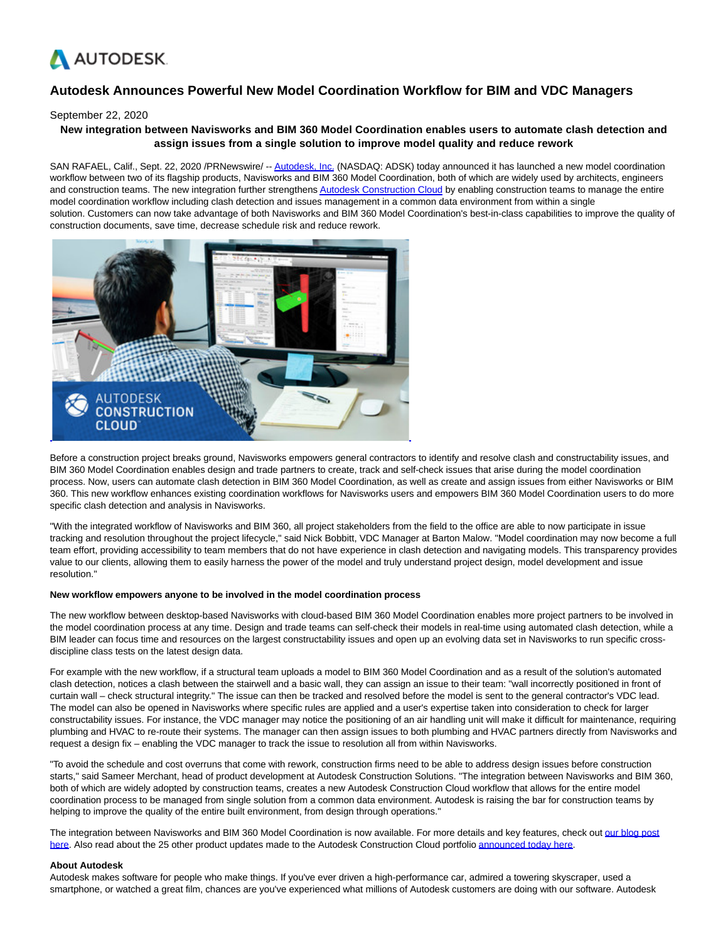

# **Autodesk Announces Powerful New Model Coordination Workflow for BIM and VDC Managers**

#### September 22, 2020

## **New integration between Navisworks and BIM 360 Model Coordination enables users to automate clash detection and assign issues from a single solution to improve model quality and reduce rework**

SAN RAFAEL, Calif., Sept. 22, 2020 /PRNewswire/ -[- Autodesk, Inc. \(](https://c212.net/c/link/?t=0&l=en&o=2924031-1&h=3880606501&u=http%3A%2F%2Fwww.autodesk.com%2F&a=Autodesk%2C+Inc.)NASDAQ: ADSK) today announced it has launched a new model coordination workflow between two of its flagship products, Navisworks and BIM 360 Model Coordination, both of which are widely used by architects, engineers and construction teams. The new integration further strengthen[s Autodesk Construction Cloud b](https://c212.net/c/link/?t=0&l=en&o=2924031-1&h=920029417&u=http%3A%2F%2Fconstruction.autodesk.com%2F&a=Autodesk+Construction+Cloud)y enabling construction teams to manage the entire model coordination workflow including clash detection and issues management in a common data environment from within a single solution. Customers can now take advantage of both Navisworks and BIM 360 Model Coordination's best-in-class capabilities to improve the quality of construction documents, save time, decrease schedule risk and reduce rework.



Before a construction project breaks ground, Navisworks empowers general contractors to identify and resolve clash and constructability issues, and BIM 360 Model Coordination enables design and trade partners to create, track and self-check issues that arise during the model coordination process. Now, users can automate clash detection in BIM 360 Model Coordination, as well as create and assign issues from either Navisworks or BIM 360. This new workflow enhances existing coordination workflows for Navisworks users and empowers BIM 360 Model Coordination users to do more specific clash detection and analysis in Navisworks.

"With the integrated workflow of Navisworks and BIM 360, all project stakeholders from the field to the office are able to now participate in issue tracking and resolution throughout the project lifecycle," said Nick Bobbitt, VDC Manager at Barton Malow. "Model coordination may now become a full team effort, providing accessibility to team members that do not have experience in clash detection and navigating models. This transparency provides value to our clients, allowing them to easily harness the power of the model and truly understand project design, model development and issue resolution."

### **New workflow empowers anyone to be involved in the model coordination process**

The new workflow between desktop-based Navisworks with cloud-based BIM 360 Model Coordination enables more project partners to be involved in the model coordination process at any time. Design and trade teams can self-check their models in real-time using automated clash detection, while a BIM leader can focus time and resources on the largest constructability issues and open up an evolving data set in Navisworks to run specific crossdiscipline class tests on the latest design data.

For example with the new workflow, if a structural team uploads a model to BIM 360 Model Coordination and as a result of the solution's automated clash detection, notices a clash between the stairwell and a basic wall, they can assign an issue to their team: "wall incorrectly positioned in front of curtain wall – check structural integrity." The issue can then be tracked and resolved before the model is sent to the general contractor's VDC lead. The model can also be opened in Navisworks where specific rules are applied and a user's expertise taken into consideration to check for larger constructability issues. For instance, the VDC manager may notice the positioning of an air handling unit will make it difficult for maintenance, requiring plumbing and HVAC to re-route their systems. The manager can then assign issues to both plumbing and HVAC partners directly from Navisworks and request a design fix – enabling the VDC manager to track the issue to resolution all from within Navisworks.

"To avoid the schedule and cost overruns that come with rework, construction firms need to be able to address design issues before construction starts," said Sameer Merchant, head of product development at Autodesk Construction Solutions. "The integration between Navisworks and BIM 360, both of which are widely adopted by construction teams, creates a new Autodesk Construction Cloud workflow that allows for the entire model coordination process to be managed from single solution from a common data environment. Autodesk is raising the bar for construction teams by helping to improve the quality of the entire built environment, from design through operations."

The integration between Navisworks and BIM 360 Model Coordination is now available. For more details and key features, check out [our blog post](https://c212.net/c/link/?t=0&l=en&o=2924031-1&h=3682776028&u=https%3A%2F%2Fconstructionblog.autodesk.com%2Fintegrate-navisworks-bim-360%2F&a=our+blog+post+here) here. Also read about the 25 other product updates made to the Autodesk Construction Cloud portfolio [announced today here.](https://c212.net/c/link/?t=0&l=en&o=2924031-1&h=1676032302&u=https%3A%2F%2Fconstructionblog.autodesk.com%2Fautodesk-construction-cloud-september-2020%2F&a=announced+today+here)

#### **About Autodesk**

Autodesk makes software for people who make things. If you've ever driven a high-performance car, admired a towering skyscraper, used a smartphone, or watched a great film, chances are you've experienced what millions of Autodesk customers are doing with our software. Autodesk